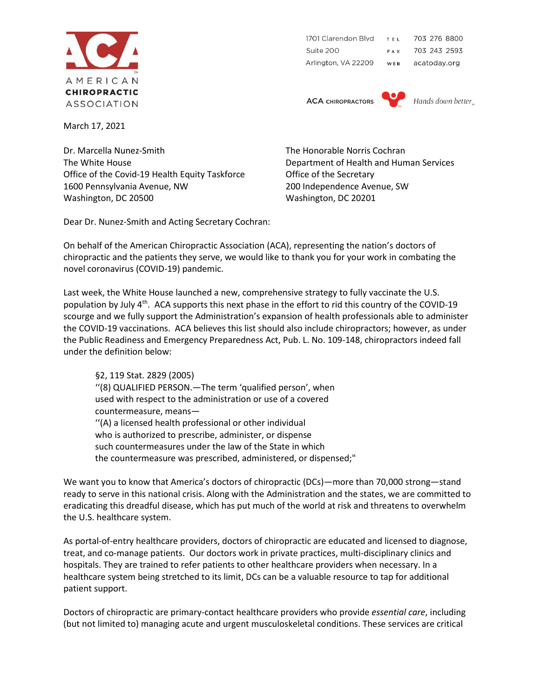

1701 Clarendon Blvd TEL 703 276 8800 Suite 200 703 243 2593 FAX Arlington, VA 22209 WEB acatoday.org

**ACA CHIROPRACTORS** 



Hands down better.

March 17, 2021

Dr. Marcella Nunez-Smith The Honorable Norris Cochran The White House Department of Health and Human Services Office of the Covid-19 Health Equity Taskforce **Office of the Secretary** 1600 Pennsylvania Avenue, NW 200 Independence Avenue, SW Washington, DC 20500 Washington, DC 20201

Dear Dr. Nunez-Smith and Acting Secretary Cochran:

On behalf of the American Chiropractic Association (ACA), representing the nation's doctors of chiropractic and the patients they serve, we would like to thank you for your work in combating the novel coronavirus (COVID-19) pandemic.

Last week, the White House launched a new, comprehensive strategy to fully vaccinate the U.S. population by July 4<sup>th</sup>. ACA supports this next phase in the effort to rid this country of the COVID-19 scourge and we fully support the Administration's expansion of health professionals able to administer the COVID-19 vaccinations. ACA believes this list should also include chiropractors; however, as under the Public Readiness and Emergency Preparedness Act, Pub. L. No. 109-148, chiropractors indeed fall under the definition below:

§2, 119 Stat. 2829 (2005) ''(8) QUALIFIED PERSON.—The term 'qualified person', when used with respect to the administration or use of a covered countermeasure, means— ''(A) a licensed health professional or other individual who is authorized to prescribe, administer, or dispense such countermeasures under the law of the State in which the countermeasure was prescribed, administered, or dispensed;"

We want you to know that America's doctors of chiropractic (DCs)—more than 70,000 strong—stand ready to serve in this national crisis. Along with the Administration and the states, we are committed to eradicating this dreadful disease, which has put much of the world at risk and threatens to overwhelm the U.S. healthcare system.

As portal-of-entry healthcare providers, doctors of chiropractic are educated and licensed to diagnose, treat, and co-manage patients. Our doctors work in private practices, multi-disciplinary clinics and hospitals. They are trained to refer patients to other healthcare providers when necessary. In a healthcare system being stretched to its limit, DCs can be a valuable resource to tap for additional patient support.

Doctors of chiropractic are primary-contact healthcare providers who provide *essential care*, including (but not limited to) managing acute and urgent musculoskeletal conditions. These services are critical